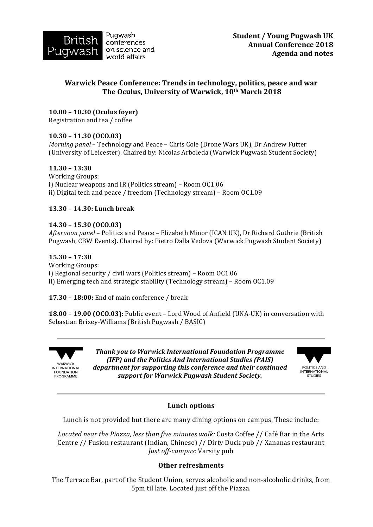

# Warwick Peace Conference: Trends in technology, politics, peace and war The Oculus, University of Warwick, 10<sup>th</sup> March 2018

## **10.00 – 10.30 (Oculus foyer)**

Registration and tea / coffee

## **10.30 – 11.30 (OCO.03)**

*Morning panel* – Technology and Peace – Chris Cole (Drone Wars UK), Dr Andrew Futter (University of Leicester). Chaired by: Nicolas Arboleda (Warwick Pugwash Student Society)

### **11.30 – 13:30**

Working Groups: i) Nuclear weapons and IR (Politics stream) – Room OC1.06 ii) Digital tech and peace / freedom (Technology stream) - Room OC1.09

### **13.30 – 14.30: Lunch break**

### **14.30 – 15.30 (OCO.03)**

*Afternoon panel* – Politics and Peace – Elizabeth Minor (ICAN UK), Dr Richard Guthrie (British Pugwash, CBW Events). Chaired by: Pietro Dalla Vedova (Warwick Pugwash Student Society)

### **15.30 – 17:30**

Working Groups: i) Regional security / civil wars (Politics stream) – Room  $0C1.06$ ii) Emerging tech and strategic stability (Technology stream) – Room OC1.09

**17.30 - 18:00:** End of main conference / break

**18.00 - 19.00 (OCO.03):** Public event - Lord Wood of Anfield (UNA-UK) in conversation with Sebastian Brixey-Williams (British Pugwash / BASIC)



**Thank you to Warwick International Foundation Programme** *(IFP)* and the Politics And International Studies *(PAIS)* department for supporting this conference and their continued *support for Warwick Pugwash Student Society.*



## **Lunch options**

Lunch is not provided but there are many dining options on campus. These include:

Located near the Piazza, less than five minutes walk: Costa Coffee // Café Bar in the Arts Centre // Fusion restaurant (Indian, Chinese) // Dirty Duck pub // Xananas restaurant *Just off-campus:* Varsity pub

## **Other refreshments**

The Terrace Bar, part of the Student Union, serves alcoholic and non-alcoholic drinks, from 5pm til late. Located just off the Piazza.